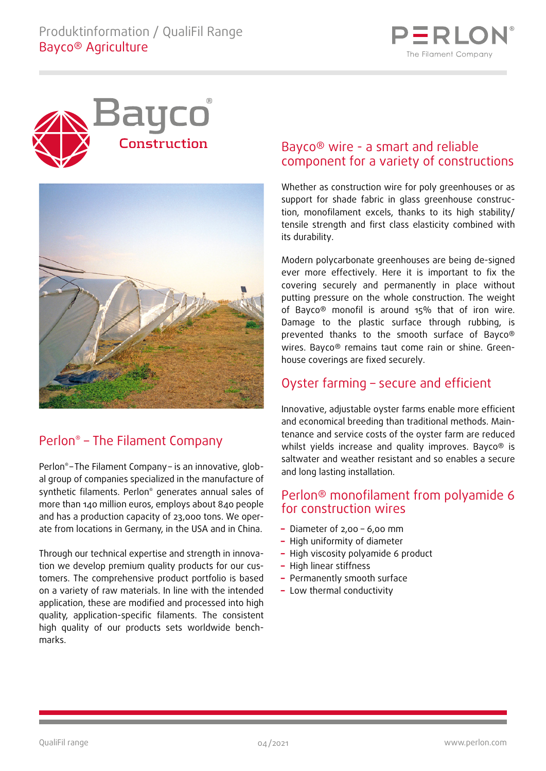





# Perlon® – The Filament Company

Perlon® – The Filament Company – is an innovative, global group of companies specialized in the manufacture of synthetic filaments. Perlon® generates annual sales of more than 140 million euros, employs about 840 people and has a production capacity of 23,000 tons. We operate from locations in Germany, in the USA and in China.

Through our technical expertise and strength in innovation we develop premium quality products for our customers. The comprehensive product portfolio is based on a variety of raw materials. In line with the intended application, these are modified and processed into high quality, application-specific filaments. The consistent high quality of our products sets worldwide benchmarks.

#### Bayco® wire - a smart and reliable component for a variety of constructions

Whether as construction wire for poly greenhouses or as support for shade fabric in glass greenhouse construction, monofilament excels, thanks to its high stability/ tensile strength and first class elasticity combined with its durability.

Modern polycarbonate greenhouses are being de-signed ever more effectively. Here it is important to fix the covering securely and permanently in place without putting pressure on the whole construction. The weight of Bayco® monofil is around 15% that of iron wire. Damage to the plastic surface through rubbing, is prevented thanks to the smooth surface of Bayco® wires. Bayco® remains taut come rain or shine. Greenhouse coverings are fixed securely.

### Oyster farming – secure and efficient

Innovative, adjustable oyster farms enable more efficient and economical breeding than traditional methods. Maintenance and service costs of the oyster farm are reduced whilst vields increase and quality improves. Bayco<sup>®</sup> is saltwater and weather resistant and so enables a secure and long lasting installation.

#### Perlon® monofilament from polyamide 6 for construction wires

- **–** Diameter of 2,00 6,00 mm
- **–** High uniformity of diameter
- **–** High viscosity polyamide 6 product
- **–** High linear stiffness
- **–** Permanently smooth surface
- **–** Low thermal conductivity